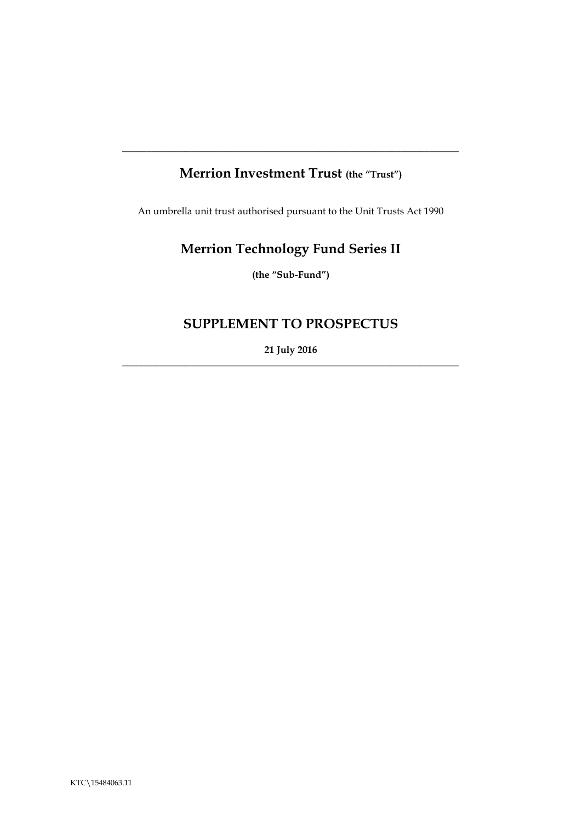# **Merrion Investment Trust (the "Trust")**

**\_\_\_\_\_\_\_\_\_\_\_\_\_\_\_\_\_\_\_\_\_\_\_\_\_\_\_\_\_\_\_\_\_\_\_\_\_\_\_\_\_\_\_\_\_\_\_\_\_\_\_\_\_\_\_\_\_\_\_\_\_\_\_\_\_\_\_\_\_**

An umbrella unit trust authorised pursuant to the Unit Trusts Act 1990

# **Merrion Technology Fund Series II**

**(the "Sub-Fund")**

# **SUPPLEMENT TO PROSPECTUS**

**21 July 2016**  $\_$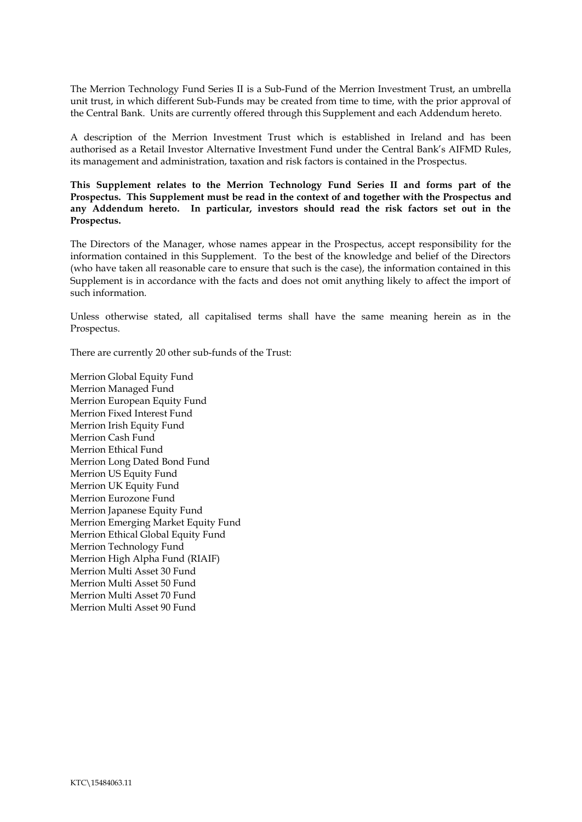The Merrion Technology Fund Series II is a Sub-Fund of the Merrion Investment Trust, an umbrella unit trust, in which different Sub-Funds may be created from time to time, with the prior approval of the Central Bank. Units are currently offered through this Supplement and each Addendum hereto.

A description of the Merrion Investment Trust which is established in Ireland and has been authorised as a Retail Investor Alternative Investment Fund under the Central Bank's AIFMD Rules, its management and administration, taxation and risk factors is contained in the Prospectus.

**This Supplement relates to the Merrion Technology Fund Series II and forms part of the Prospectus. This Supplement must be read in the context of and together with the Prospectus and any Addendum hereto. In particular, investors should read the risk factors set out in the Prospectus.** 

The Directors of the Manager, whose names appear in the Prospectus, accept responsibility for the information contained in this Supplement. To the best of the knowledge and belief of the Directors (who have taken all reasonable care to ensure that such is the case), the information contained in this Supplement is in accordance with the facts and does not omit anything likely to affect the import of such information.

Unless otherwise stated, all capitalised terms shall have the same meaning herein as in the Prospectus.

There are currently 20 other sub-funds of the Trust:

Merrion Global Equity Fund Merrion Managed Fund Merrion European Equity Fund Merrion Fixed Interest Fund Merrion Irish Equity Fund Merrion Cash Fund Merrion Ethical Fund Merrion Long Dated Bond Fund Merrion US Equity Fund Merrion UK Equity Fund Merrion Eurozone Fund Merrion Japanese Equity Fund Merrion Emerging Market Equity Fund Merrion Ethical Global Equity Fund Merrion Technology Fund Merrion High Alpha Fund (RIAIF) Merrion Multi Asset 30 Fund Merrion Multi Asset 50 Fund Merrion Multi Asset 70 Fund Merrion Multi Asset 90 Fund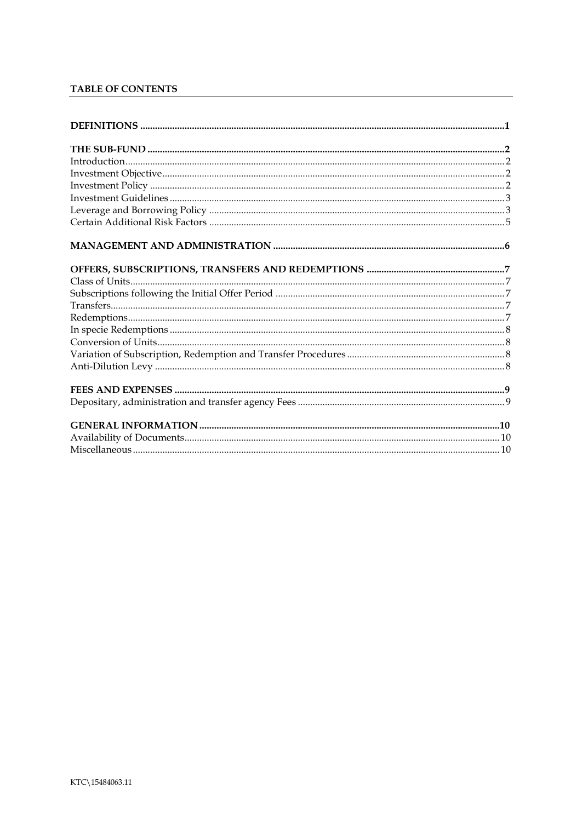# TABLE OF CONTENTS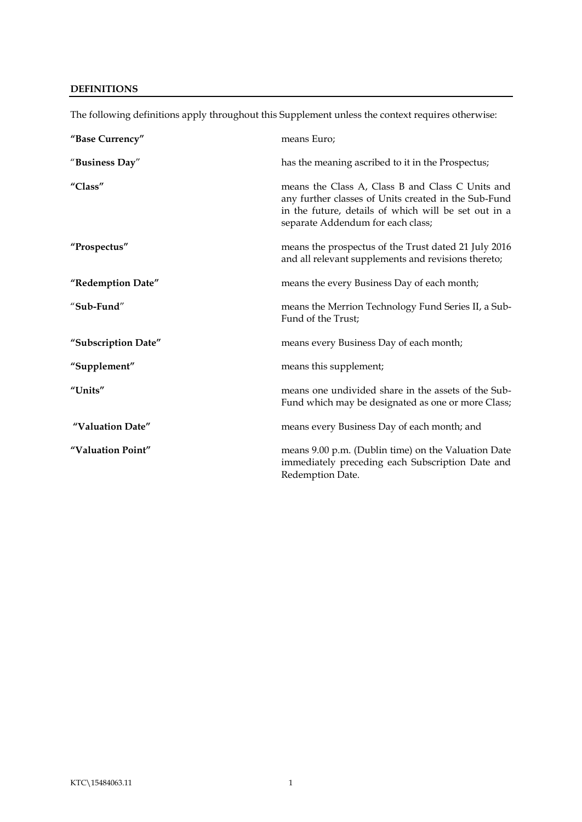# <span id="page-3-0"></span>**DEFINITIONS**

| "Base Currency"     | means Euro;                                                                                                                                                                                           |
|---------------------|-------------------------------------------------------------------------------------------------------------------------------------------------------------------------------------------------------|
| "Business Day"      | has the meaning ascribed to it in the Prospectus;                                                                                                                                                     |
| "Class"             | means the Class A, Class B and Class C Units and<br>any further classes of Units created in the Sub-Fund<br>in the future, details of which will be set out in a<br>separate Addendum for each class; |
| "Prospectus"        | means the prospectus of the Trust dated 21 July 2016<br>and all relevant supplements and revisions thereto;                                                                                           |
| "Redemption Date"   | means the every Business Day of each month;                                                                                                                                                           |
| "Sub-Fund"          | means the Merrion Technology Fund Series II, a Sub-<br>Fund of the Trust;                                                                                                                             |
| "Subscription Date" | means every Business Day of each month;                                                                                                                                                               |
| "Supplement"        | means this supplement;                                                                                                                                                                                |
| "Units"             | means one undivided share in the assets of the Sub-<br>Fund which may be designated as one or more Class;                                                                                             |
| "Valuation Date"    | means every Business Day of each month; and                                                                                                                                                           |
| "Valuation Point"   | means 9.00 p.m. (Dublin time) on the Valuation Date<br>immediately preceding each Subscription Date and<br>Redemption Date.                                                                           |

The following definitions apply throughout this Supplement unless the context requires otherwise: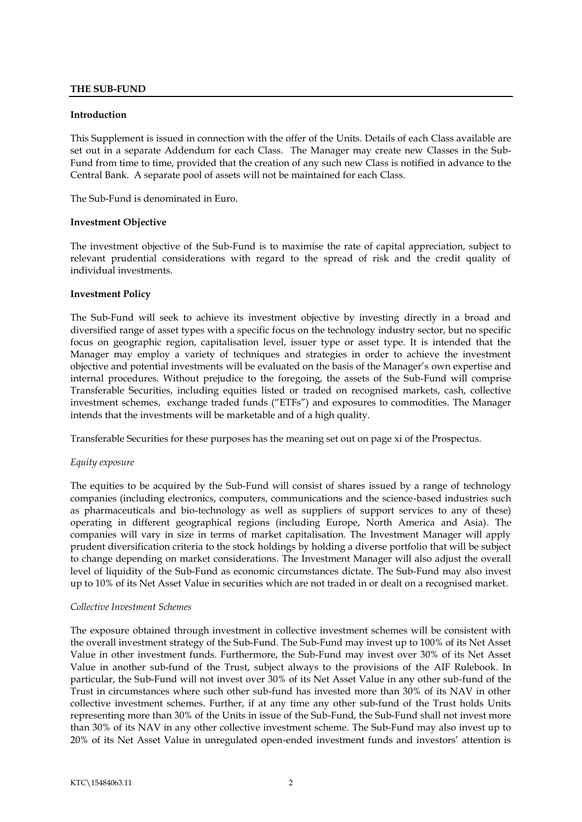# <span id="page-4-0"></span>**THE SUB-FUND**

#### <span id="page-4-1"></span>**Introduction**

This Supplement is issued in connection with the offer of the Units. Details of each Class available are set out in a separate Addendum for each Class. The Manager may create new Classes in the Sub-Fund from time to time, provided that the creation of any such new Class is notified in advance to the Central Bank. A separate pool of assets will not be maintained for each Class.

The Sub-Fund is denominated in Euro.

#### <span id="page-4-2"></span>**Investment Objective**

The investment objective of the Sub-Fund is to maximise the rate of capital appreciation, subject to relevant prudential considerations with regard to the spread of risk and the credit quality of individual investments.

#### <span id="page-4-3"></span>**Investment Policy**

The Sub-Fund will seek to achieve its investment objective by investing directly in a broad and diversified range of asset types with a specific focus on the technology industry sector, but no specific focus on geographic region, capitalisation level, issuer type or asset type. It is intended that the Manager may employ a variety of techniques and strategies in order to achieve the investment objective and potential investments will be evaluated on the basis of the Manager's own expertise and internal procedures. Without prejudice to the foregoing, the assets of the Sub-Fund will comprise Transferable Securities, including equities listed or traded on recognised markets, cash, collective investment schemes, exchange traded funds ("ETFs") and exposures to commodities. The Manager intends that the investments will be marketable and of a high quality.

Transferable Securities for these purposes has the meaning set out on page xi of the Prospectus.

#### *Equity exposure*

The equities to be acquired by the Sub-Fund will consist of shares issued by a range of technology companies (including electronics, computers, communications and the science-based industries such as pharmaceuticals and bio-technology as well as suppliers of support services to any of these) operating in different geographical regions (including Europe, North America and Asia). The companies will vary in size in terms of market capitalisation. The Investment Manager will apply prudent diversification criteria to the stock holdings by holding a diverse portfolio that will be subject to change depending on market considerations. The Investment Manager will also adjust the overall level of liquidity of the Sub-Fund as economic circumstances dictate. The Sub-Fund may also invest up to 10% of its Net Asset Value in securities which are not traded in or dealt on a recognised market.

#### *Collective Investment Schemes*

The exposure obtained through investment in collective investment schemes will be consistent with the overall investment strategy of the Sub-Fund. The Sub-Fund may invest up to 100% of its Net Asset Value in other investment funds. Furthermore, the Sub-Fund may invest over 30% of its Net Asset Value in another sub-fund of the Trust, subject always to the provisions of the AIF Rulebook. In particular, the Sub-Fund will not invest over 30% of its Net Asset Value in any other sub-fund of the Trust in circumstances where such other sub-fund has invested more than 30% of its NAV in other collective investment schemes. Further, if at any time any other sub-fund of the Trust holds Units representing more than 30% of the Units in issue of the Sub-Fund, the Sub-Fund shall not invest more than 30% of its NAV in any other collective investment scheme. The Sub-Fund may also invest up to 20% of its Net Asset Value in unregulated open-ended investment funds and investors' attention is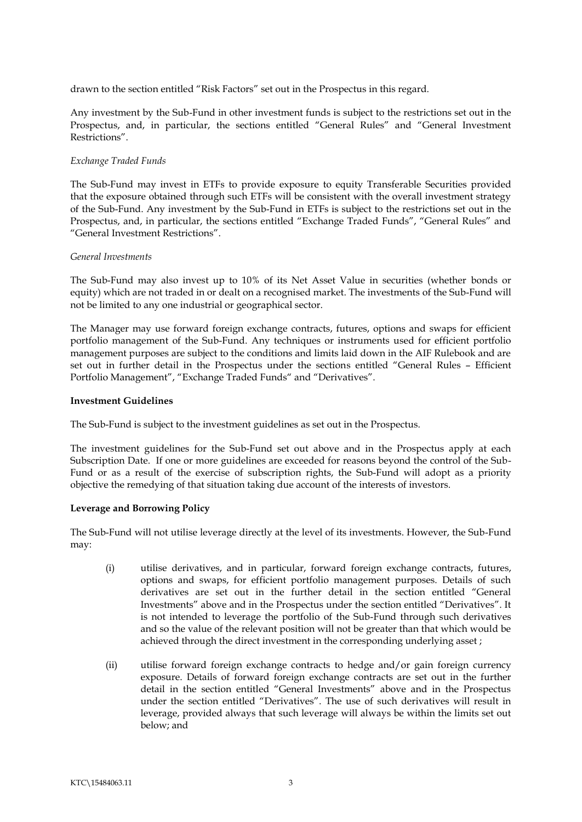drawn to the section entitled "Risk Factors" set out in the Prospectus in this regard.

Any investment by the Sub-Fund in other investment funds is subject to the restrictions set out in the Prospectus, and, in particular, the sections entitled "General Rules" and "General Investment Restrictions".

# *Exchange Traded Funds*

The Sub-Fund may invest in ETFs to provide exposure to equity Transferable Securities provided that the exposure obtained through such ETFs will be consistent with the overall investment strategy of the Sub-Fund. Any investment by the Sub-Fund in ETFs is subject to the restrictions set out in the Prospectus, and, in particular, the sections entitled "Exchange Traded Funds", "General Rules" and "General Investment Restrictions".

#### *General Investments*

The Sub-Fund may also invest up to 10% of its Net Asset Value in securities (whether bonds or equity) which are not traded in or dealt on a recognised market. The investments of the Sub-Fund will not be limited to any one industrial or geographical sector.

The Manager may use forward foreign exchange contracts, futures, options and swaps for efficient portfolio management of the Sub-Fund. Any techniques or instruments used for efficient portfolio management purposes are subject to the conditions and limits laid down in the AIF Rulebook and are set out in further detail in the Prospectus under the sections entitled "General Rules – Efficient Portfolio Management", "Exchange Traded Funds" and "Derivatives".

# <span id="page-5-0"></span>**Investment Guidelines**

The Sub-Fund is subject to the investment guidelines as set out in the Prospectus.

The investment guidelines for the Sub-Fund set out above and in the Prospectus apply at each Subscription Date. If one or more guidelines are exceeded for reasons beyond the control of the Sub-Fund or as a result of the exercise of subscription rights, the Sub-Fund will adopt as a priority objective the remedying of that situation taking due account of the interests of investors.

# **Leverage and Borrowing Policy**

The Sub-Fund will not utilise leverage directly at the level of its investments. However, the Sub-Fund may:

- <span id="page-5-1"></span>(i) utilise derivatives, and in particular, forward foreign exchange contracts, futures, options and swaps, for efficient portfolio management purposes. Details of such derivatives are set out in the further detail in the section entitled "General Investments" above and in the Prospectus under the section entitled "Derivatives". It is not intended to leverage the portfolio of the Sub-Fund through such derivatives and so the value of the relevant position will not be greater than that which would be achieved through the direct investment in the corresponding underlying asset ;
- (ii) utilise forward foreign exchange contracts to hedge and/or gain foreign currency exposure. Details of forward foreign exchange contracts are set out in the further detail in the section entitled "General Investments" above and in the Prospectus under the section entitled "Derivatives". The use of such derivatives will result in leverage, provided always that such leverage will always be within the limits set out below; and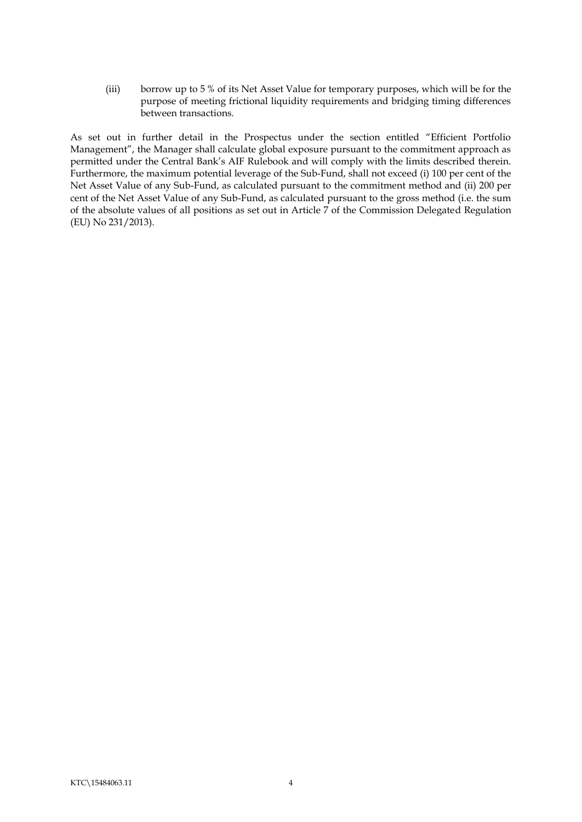(iii) borrow up to 5 % of its Net Asset Value for temporary purposes, which will be for the purpose of meeting frictional liquidity requirements and bridging timing differences between transactions.

As set out in further detail in the Prospectus under the section entitled "Efficient Portfolio Management", the Manager shall calculate global exposure pursuant to the commitment approach as permitted under the Central Bank's AIF Rulebook and will comply with the limits described therein. Furthermore, the maximum potential leverage of the Sub-Fund, shall not exceed (i) 100 per cent of the Net Asset Value of any Sub-Fund, as calculated pursuant to the commitment method and (ii) 200 per cent of the Net Asset Value of any Sub-Fund, as calculated pursuant to the gross method (i.e. the sum of the absolute values of all positions as set out in Article 7 of the Commission Delegated Regulation (EU) No 231/2013).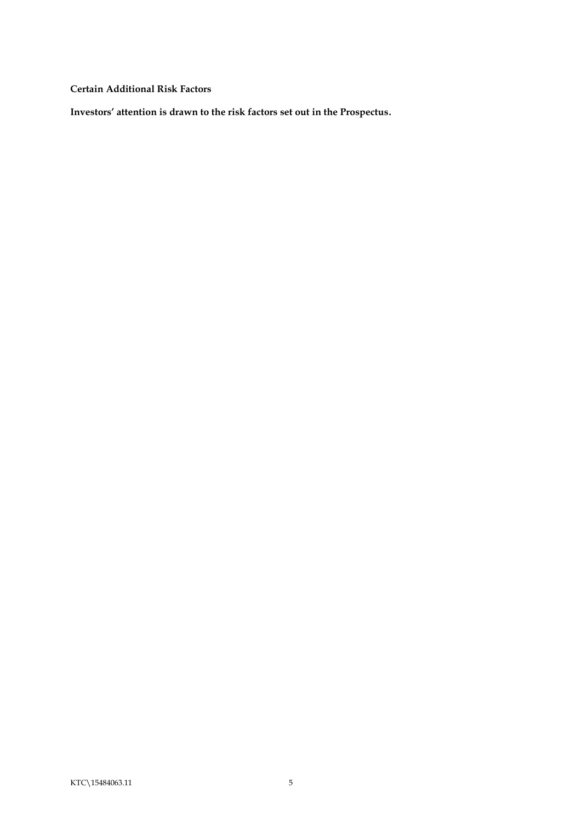<span id="page-7-0"></span>**Certain Additional Risk Factors**

**Investors' attention is drawn to the risk factors set out in the Prospectus.**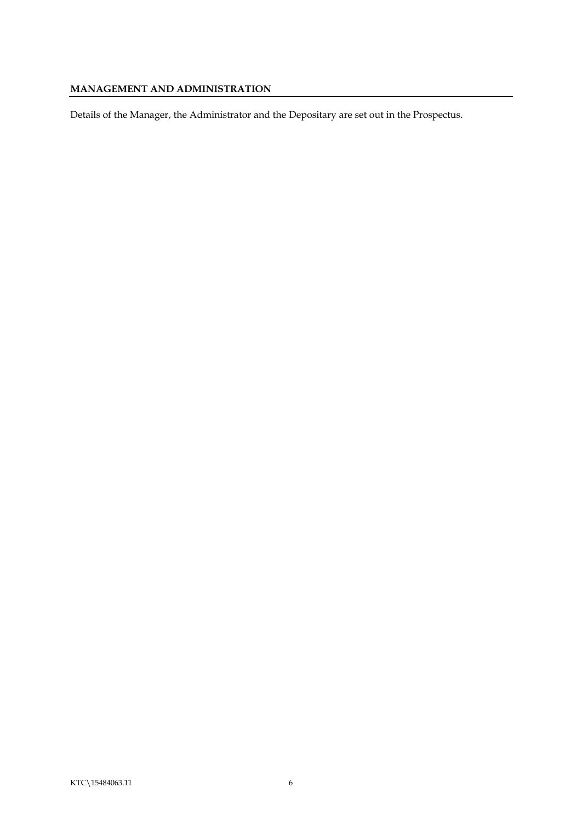# <span id="page-8-0"></span>**MANAGEMENT AND ADMINISTRATION**

Details of the Manager, the Administrator and the Depositary are set out in the Prospectus.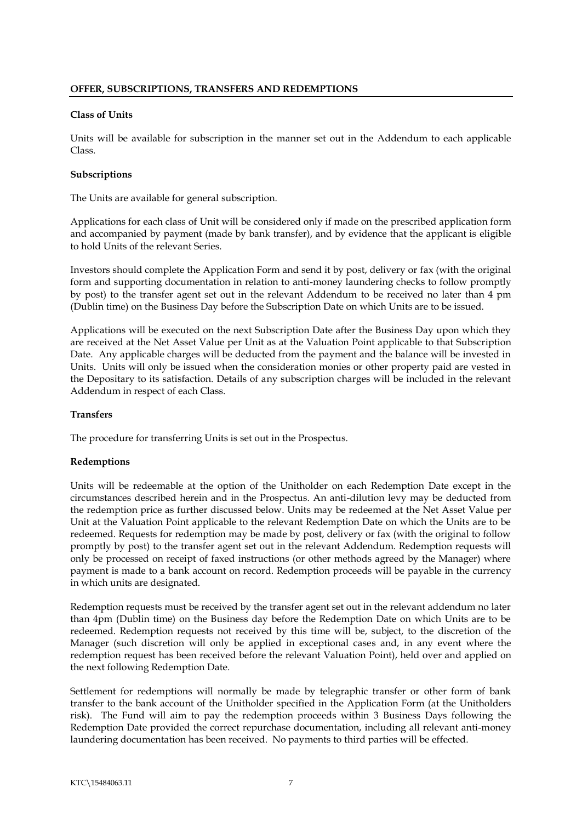### <span id="page-9-1"></span><span id="page-9-0"></span>**Class of Units**

Units will be available for subscription in the manner set out in the Addendum to each applicable Class.

# <span id="page-9-2"></span>**Subscriptions**

The Units are available for general subscription.

Applications for each class of Unit will be considered only if made on the prescribed application form and accompanied by payment (made by bank transfer), and by evidence that the applicant is eligible to hold Units of the relevant Series.

Investors should complete the Application Form and send it by post, delivery or fax (with the original form and supporting documentation in relation to anti-money laundering checks to follow promptly by post) to the transfer agent set out in the relevant Addendum to be received no later than 4 pm (Dublin time) on the Business Day before the Subscription Date on which Units are to be issued.

Applications will be executed on the next Subscription Date after the Business Day upon which they are received at the Net Asset Value per Unit as at the Valuation Point applicable to that Subscription Date. Any applicable charges will be deducted from the payment and the balance will be invested in Units. Units will only be issued when the consideration monies or other property paid are vested in the Depositary to its satisfaction. Details of any subscription charges will be included in the relevant Addendum in respect of each Class.

# <span id="page-9-3"></span>**Transfers**

The procedure for transferring Units is set out in the Prospectus.

# <span id="page-9-4"></span>**Redemptions**

Units will be redeemable at the option of the Unitholder on each Redemption Date except in the circumstances described herein and in the Prospectus. An anti-dilution levy may be deducted from the redemption price as further discussed below. Units may be redeemed at the Net Asset Value per Unit at the Valuation Point applicable to the relevant Redemption Date on which the Units are to be redeemed. Requests for redemption may be made by post, delivery or fax (with the original to follow promptly by post) to the transfer agent set out in the relevant Addendum. Redemption requests will only be processed on receipt of faxed instructions (or other methods agreed by the Manager) where payment is made to a bank account on record. Redemption proceeds will be payable in the currency in which units are designated.

Redemption requests must be received by the transfer agent set out in the relevant addendum no later than 4pm (Dublin time) on the Business day before the Redemption Date on which Units are to be redeemed. Redemption requests not received by this time will be, subject, to the discretion of the Manager (such discretion will only be applied in exceptional cases and, in any event where the redemption request has been received before the relevant Valuation Point), held over and applied on the next following Redemption Date.

Settlement for redemptions will normally be made by telegraphic transfer or other form of bank transfer to the bank account of the Unitholder specified in the Application Form (at the Unitholders risk). The Fund will aim to pay the redemption proceeds within 3 Business Days following the Redemption Date provided the correct repurchase documentation, including all relevant anti-money laundering documentation has been received. No payments to third parties will be effected.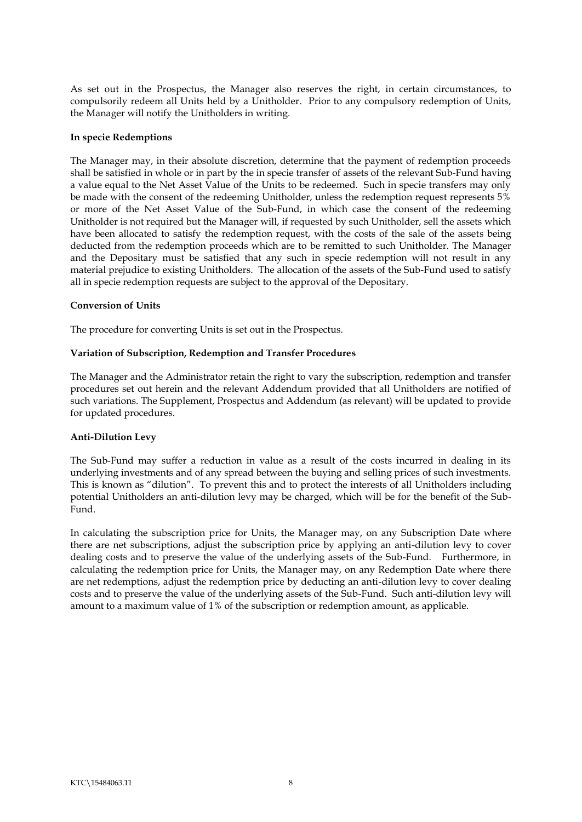As set out in the Prospectus, the Manager also reserves the right, in certain circumstances, to compulsorily redeem all Units held by a Unitholder. Prior to any compulsory redemption of Units, the Manager will notify the Unitholders in writing.

# <span id="page-10-0"></span>**In specie Redemptions**

The Manager may, in their absolute discretion, determine that the payment of redemption proceeds shall be satisfied in whole or in part by the in specie transfer of assets of the relevant Sub-Fund having a value equal to the Net Asset Value of the Units to be redeemed. Such in specie transfers may only be made with the consent of the redeeming Unitholder, unless the redemption request represents 5% or more of the Net Asset Value of the Sub-Fund, in which case the consent of the redeeming Unitholder is not required but the Manager will, if requested by such Unitholder, sell the assets which have been allocated to satisfy the redemption request, with the costs of the sale of the assets being deducted from the redemption proceeds which are to be remitted to such Unitholder. The Manager and the Depositary must be satisfied that any such in specie redemption will not result in any material prejudice to existing Unitholders. The allocation of the assets of the Sub-Fund used to satisfy all in specie redemption requests are subject to the approval of the Depositary.

# <span id="page-10-1"></span>**Conversion of Units**

The procedure for converting Units is set out in the Prospectus.

#### <span id="page-10-2"></span>**Variation of Subscription, Redemption and Transfer Procedures**

The Manager and the Administrator retain the right to vary the subscription, redemption and transfer procedures set out herein and the relevant Addendum provided that all Unitholders are notified of such variations. The Supplement, Prospectus and Addendum (as relevant) will be updated to provide for updated procedures.

#### <span id="page-10-3"></span>**Anti-Dilution Levy**

The Sub-Fund may suffer a reduction in value as a result of the costs incurred in dealing in its underlying investments and of any spread between the buying and selling prices of such investments. This is known as "dilution". To prevent this and to protect the interests of all Unitholders including potential Unitholders an anti-dilution levy may be charged, which will be for the benefit of the Sub-Fund.

In calculating the subscription price for Units, the Manager may, on any Subscription Date where there are net subscriptions, adjust the subscription price by applying an anti-dilution levy to cover dealing costs and to preserve the value of the underlying assets of the Sub-Fund. Furthermore, in calculating the redemption price for Units, the Manager may, on any Redemption Date where there are net redemptions, adjust the redemption price by deducting an anti-dilution levy to cover dealing costs and to preserve the value of the underlying assets of the Sub-Fund. Such anti-dilution levy will amount to a maximum value of 1% of the subscription or redemption amount, as applicable.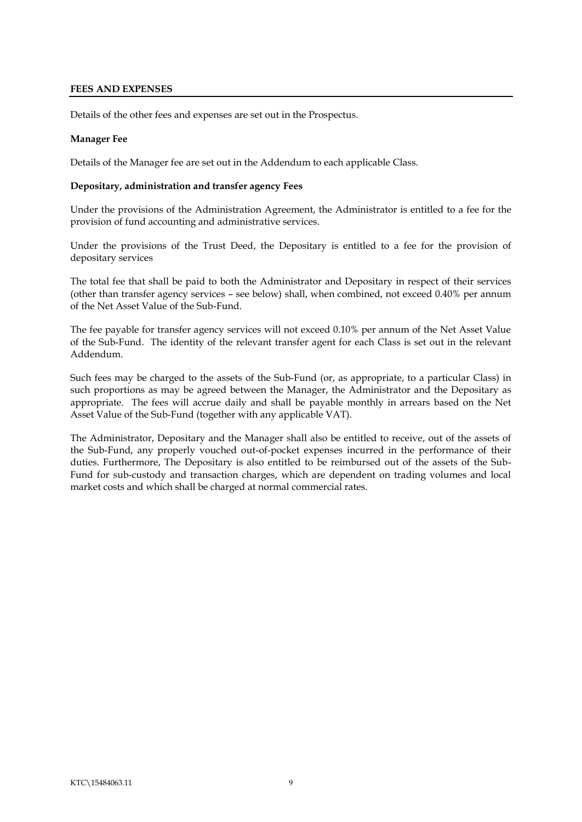# <span id="page-11-0"></span>**FEES AND EXPENSES**

Details of the other fees and expenses are set out in the Prospectus.

# **Manager Fee**

Details of the Manager fee are set out in the Addendum to each applicable Class.

### <span id="page-11-1"></span>**Depositary, administration and transfer agency Fees**

Under the provisions of the Administration Agreement, the Administrator is entitled to a fee for the provision of fund accounting and administrative services.

Under the provisions of the Trust Deed, the Depositary is entitled to a fee for the provision of depositary services

The total fee that shall be paid to both the Administrator and Depositary in respect of their services (other than transfer agency services – see below) shall, when combined, not exceed 0.40% per annum of the Net Asset Value of the Sub-Fund.

The fee payable for transfer agency services will not exceed 0.10% per annum of the Net Asset Value of the Sub-Fund. The identity of the relevant transfer agent for each Class is set out in the relevant Addendum.

Such fees may be charged to the assets of the Sub-Fund (or, as appropriate, to a particular Class) in such proportions as may be agreed between the Manager, the Administrator and the Depositary as appropriate. The fees will accrue daily and shall be payable monthly in arrears based on the Net Asset Value of the Sub-Fund (together with any applicable VAT).

The Administrator, Depositary and the Manager shall also be entitled to receive, out of the assets of the Sub-Fund, any properly vouched out-of-pocket expenses incurred in the performance of their duties. Furthermore, The Depositary is also entitled to be reimbursed out of the assets of the Sub-Fund for sub-custody and transaction charges, which are dependent on trading volumes and local market costs and which shall be charged at normal commercial rates.